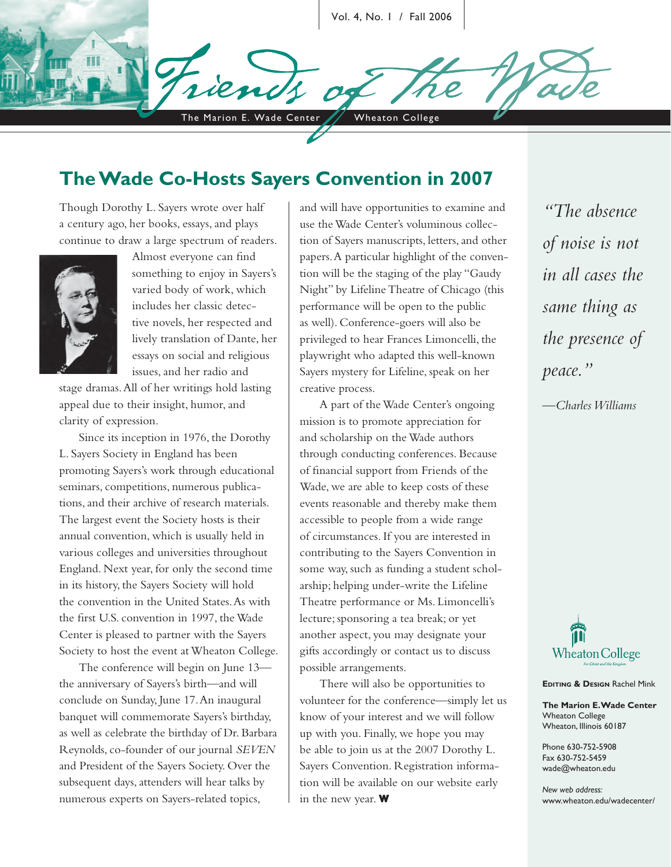Vol. 4, No. 1 / Fall 2006

The Marion E. Wade Center // Wheaton College

## **The Wade Co-Hosts Sayers Convention in 2007**

Though Dorothy L. Sayers wrote over half a century ago, her books, essays, and plays continue to draw a large spectrum of readers.



Almost everyone can find something to enjoy in Sayers's varied body of work, which includes her classic detective novels, her respected and lively translation of Dante, her essays on social and religious issues, and her radio and

stage dramas. All of her writings hold lasting appeal due to their insight, humor, and clarity of expression.

Since its inception in 1976, the Dorothy L. Sayers Society in England has been promoting Sayers's work through educational seminars, competitions, numerous publications, and their archive of research materials. The largest event the Society hosts is their annual convention, which is usually held in various colleges and universities throughout England. Next year, for only the second time in its history, the Sayers Society will hold the convention in the United States. As with the first U.S. convention in 1997, the Wade Center is pleased to partner with the Sayers Society to host the event at Wheaton College.

The conference will begin on June 13 the anniversary of Sayers's birth—and will conclude on Sunday, June 17. An inaugural banquet will commemorate Sayers's birthday, as well as celebrate the birthday of Dr. Barbara Reynolds, co-founder of our journal *SEVEN* and President of the Sayers Society. Over the subsequent days, attenders will hear talks by numerous experts on Sayers-related topics,

and will have opportunities to examine and use the Wade Center's voluminous collection of Sayers manuscripts, letters, and other papers. A particular highlight of the convention will be the staging of the play "Gaudy Night" by Lifeline Theatre of Chicago (this performance will be open to the public as well). Conference-goers will also be privileged to hear Frances Limoncelli, the playwright who adapted this well-known Sayers mystery for Lifeline, speak on her creative process.

A part of the Wade Center's ongoing mission is to promote appreciation for and scholarship on the Wade authors through conducting conferences. Because of financial support from Friends of the Wade, we are able to keep costs of these events reasonable and thereby make them accessible to people from a wide range of circumstances. If you are interested in contributing to the Sayers Convention in some way, such as funding a student scholarship; helping under-write the Lifeline Theatre performance or Ms. Limoncelli's lecture; sponsoring a tea break; or yet another aspect, you may designate your gifts accordingly or contact us to discuss possible arrangements.

There will also be opportunities to volunteer for the conference—simply let us know of your interest and we will follow up with you. Finally, we hope you may be able to join us at the 2007 Dorothy L. Sayers Convention. Registration information will be available on our website early in the new year. **W**

*"The absence of noise is not in all cases the same thing as the presence of peace."*

*—Charles Williams* 



**EDITING & DESIGN Rachel Mink** 

**The Marion E. Wade Center** Wheaton College Wheaton, Illinois 60187

Phone 630-752-5908 Fax 630-752-5459 wade@wheaton.edu

*New web address:* www.wheaton.edu/wadecenter/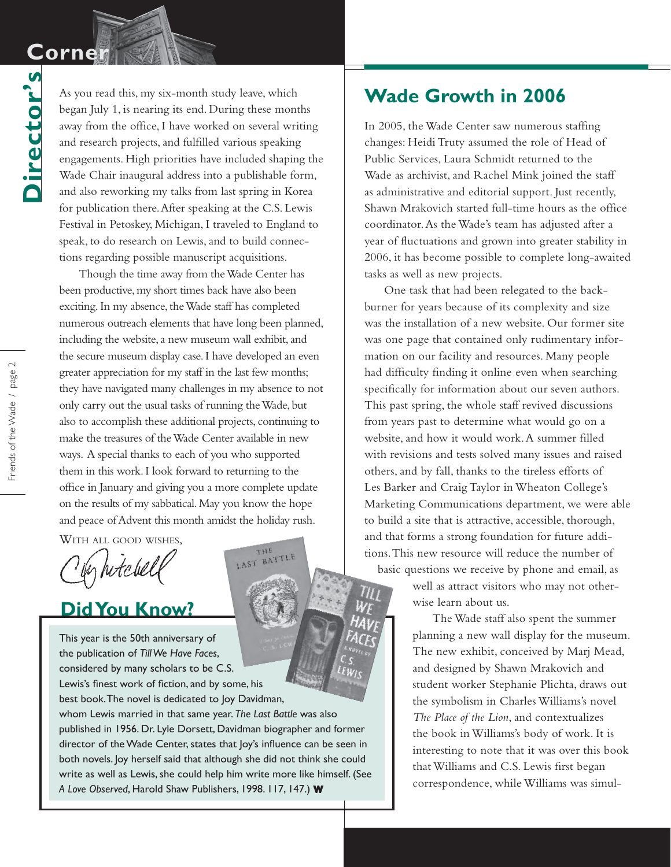# **Corne**

**Director's**

Director's

As you read this, my six-month study leave, which began July 1, is nearing its end. During these months away from the office, I have worked on several writing and research projects, and fulfilled various speaking engagements. High priorities have included shaping the Wade Chair inaugural address into a publishable form, and also reworking my talks from last spring in Korea for publication there. After speaking at the C.S. Lewis Festival in Petoskey, Michigan, I traveled to England to speak, to do research on Lewis, and to build connections regarding possible manuscript acquisitions.

Though the time away from the Wade Center has been productive, my short times back have also been exciting. In my absence, the Wade staff has completed numerous outreach elements that have long been planned, including the website, a new museum wall exhibit, and the secure museum display case. I have developed an even greater appreciation for my staff in the last few months; they have navigated many challenges in my absence to not only carry out the usual tasks of running the Wade, but also to accomplish these additional projects, continuing to make the treasures of the Wade Center available in new ways. A special thanks to each of you who supported them in this work. I look forward to returning to the office in January and giving you a more complete update on the results of my sabbatical. May you know the hope and peace of Advent this month amidst the holiday rush.

WITH ALL GOOD WISHES,

in hitchel

#### **Did You Know?**

This year is the 50th anniversary of the publication of *Till We Have Faces*, considered by many scholars to be C.S. Lewis's finest work of fiction, and by some, his best book. The novel is dedicated to Joy Davidman, whom Lewis married in that same year. *The Last Battle* was also published in 1956. Dr. Lyle Dorsett, Davidman biographer and former director of the Wade Center, states that Joy's influence can be seen in both novels. Joy herself said that although she did not think she could write as well as Lewis, she could help him write more like himself. (See *A Love Observed*, Harold Shaw Publishers, 1998. 117, 147.) **W**

THE LAST BATTLE

## **Wade Growth in 2006**

In 2005, the Wade Center saw numerous staffing changes: Heidi Truty assumed the role of Head of Public Services, Laura Schmidt returned to the Wade as archivist, and Rachel Mink joined the staff as administrative and editorial support. Just recently, Shawn Mrakovich started full-time hours as the office coordinator. As the Wade's team has adjusted after a year of fluctuations and grown into greater stability in 2006, it has become possible to complete long-awaited tasks as well as new projects.

One task that had been relegated to the backburner for years because of its complexity and size was the installation of a new website. Our former site was one page that contained only rudimentary information on our facility and resources. Many people had difficulty finding it online even when searching specifically for information about our seven authors. This past spring, the whole staff revived discussions from years past to determine what would go on a website, and how it would work. A summer filled with revisions and tests solved many issues and raised others, and by fall, thanks to the tireless efforts of Les Barker and Craig Taylor in Wheaton College's Marketing Communications department, we were able to build a site that is attractive, accessible, thorough, and that forms a strong foundation for future additions. This new resource will reduce the number of basic questions we receive by phone and email, as

> well as attract visitors who may not otherwise learn about us.

The Wade staff also spent the summer planning a new wall display for the museum. The new exhibit, conceived by Marj Mead, and designed by Shawn Mrakovich and student worker Stephanie Plichta, draws out the symbolism in Charles Williams's novel *The Place of the Lion*, and contextualizes the book in Williams's body of work. It is interesting to note that it was over this book that Williams and C.S. Lewis first began correspondence, while Williams was simul-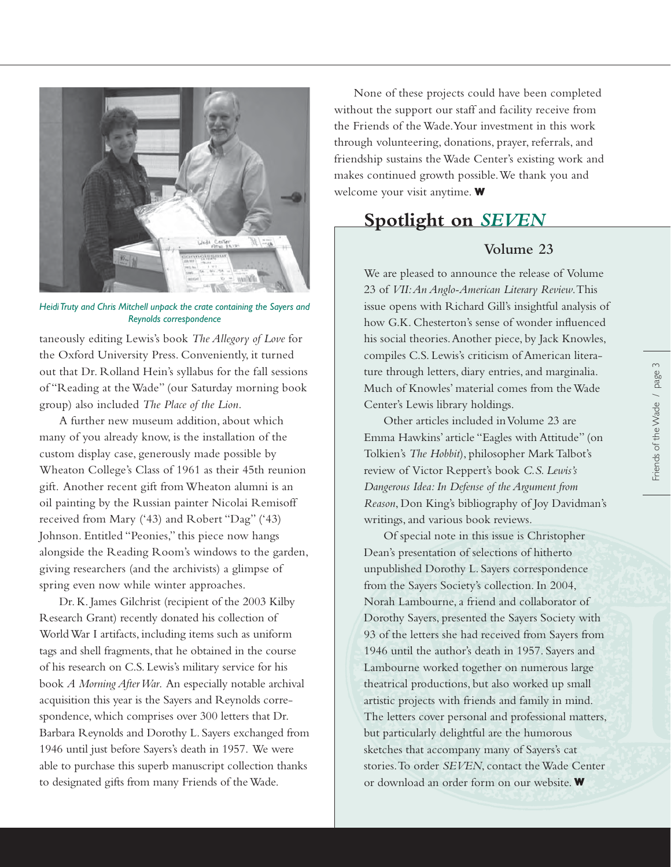

*Heidi Truty and Chris Mitchell unpack the crate containing the Sayers and Reynolds correspondence*

taneously editing Lewis's book *The Allegory of Love* for the Oxford University Press. Conveniently, it turned out that Dr. Rolland Hein's syllabus for the fall sessions of "Reading at the Wade" (our Saturday morning book group) also included *The Place of the Lion*.

A further new museum addition, about which many of you already know, is the installation of the custom display case, generously made possible by Wheaton College's Class of 1961 as their 45th reunion gift. Another recent gift from Wheaton alumni is an oil painting by the Russian painter Nicolai Remisoff received from Mary ('43) and Robert "Dag" ('43) Johnson. Entitled "Peonies," this piece now hangs alongside the Reading Room's windows to the garden, giving researchers (and the archivists) a glimpse of spring even now while winter approaches.

Dr. K. James Gilchrist (recipient of the 2003 Kilby Research Grant) recently donated his collection of World War I artifacts, including items such as uniform tags and shell fragments, that he obtained in the course of his research on C.S. Lewis's military service for his book *A Morning After War*. An especially notable archival acquisition this year is the Sayers and Reynolds correspondence, which comprises over 300 letters that Dr. Barbara Reynolds and Dorothy L. Sayers exchanged from 1946 until just before Sayers's death in 1957. We were able to purchase this superb manuscript collection thanks to designated gifts from many Friends of the Wade.

None of these projects could have been completed without the support our staff and facility receive from the Friends of the Wade. Your investment in this work through volunteering, donations, prayer, referrals, and friendship sustains the Wade Center's existing work and makes continued growth possible. We thank you and welcome your visit anytime. **W**

#### **Spotlight on** *SEVEN*

#### **Volume 23**

We are pleased to announce the release of Volume 23 of *VII: An Anglo-American Literary Review*. This issue opens with Richard Gill's insightful analysis of how G.K. Chesterton's sense of wonder influenced his social theories. Another piece, by Jack Knowles, compiles C.S. Lewis's criticism of American literature through letters, diary entries, and marginalia. Much of Knowles' material comes from the Wade Center's Lewis library holdings.

Other articles included in Volume 23 are Emma Hawkins' article "Eagles with Attitude" (on Tolkien's *The Hobbit*), philosopher Mark Talbot's review of Victor Reppert's book *C.S. Lewis's Dangerous Idea: In Defense of the Argument from Reason*, Don King's bibliography of Joy Davidman's writings, and various book reviews.

Of special note in this issue is Christopher Dean's presentation of selections of hitherto unpublished Dorothy L. Sayers correspondence from the Sayers Society's collection. In 2004, Norah Lambourne, a friend and collaborator of Dorothy Sayers, presented the Sayers Society with 93 of the letters she had received from Sayers from 1946 until the author's death in 1957. Sayers and Lambourne worked together on numerous large theatrical productions, but also worked up small artistic projects with friends and family in mind. The letters cover personal and professional matters, but particularly delightful are the humorous sketches that accompany many of Sayers's cat stories. To order *SEVEN*, contact the Wade Center or download an order form on our website. **W**